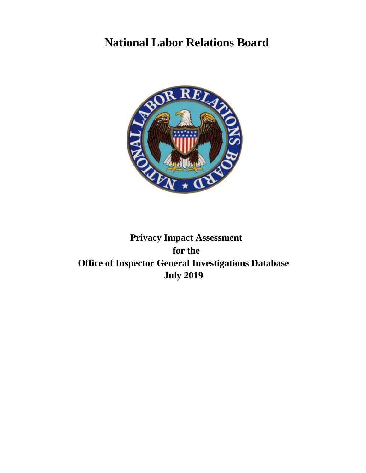# **National Labor Relations Board**



**Privacy Impact Assessment for the Office of Inspector General Investigations Database July 2019**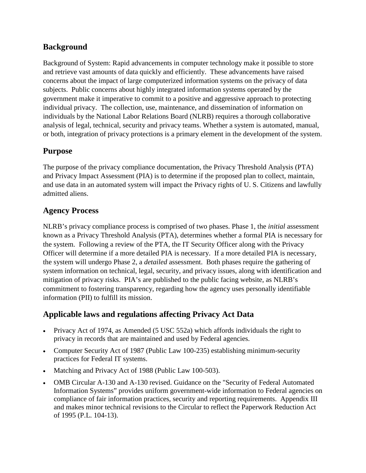# **Background**

Background of System: Rapid advancements in computer technology make it possible to store and retrieve vast amounts of data quickly and efficiently. These advancements have raised concerns about the impact of large computerized information systems on the privacy of data subjects. Public concerns about highly integrated information systems operated by the government make it imperative to commit to a positive and aggressive approach to protecting individual privacy. The collection, use, maintenance, and dissemination of information on individuals by the National Labor Relations Board (NLRB) requires a thorough collaborative analysis of legal, technical, security and privacy teams. Whether a system is automated, manual, or both, integration of privacy protections is a primary element in the development of the system.

# **Purpose**

The purpose of the privacy compliance documentation, the Privacy Threshold Analysis (PTA) and Privacy Impact Assessment (PIA) is to determine if the proposed plan to collect, maintain, and use data in an automated system will impact the Privacy rights of U. S. Citizens and lawfully admitted aliens.

# **Agency Process**

NLRB's privacy compliance process is comprised of two phases. Phase 1, the *initial* assessment known as a Privacy Threshold Analysis (PTA), determines whether a formal PIA is necessary for the system. Following a review of the PTA, the IT Security Officer along with the Privacy Officer will determine if a more detailed PIA is necessary. If a more detailed PIA is necessary, the system will undergo Phase 2, a *detailed* assessment. Both phases require the gathering of system information on technical, legal, security, and privacy issues, along with identification and mitigation of privacy risks. PIA's are published to the public facing website, as NLRB's commitment to fostering transparency, regarding how the agency uses personally identifiable information (PII) to fulfill its mission.

# **Applicable laws and regulations affecting Privacy Act Data**

- Privacy Act of 1974, as Amended (5 USC 552a) which affords individuals the right to privacy in records that are maintained and used by Federal agencies.
- Computer Security Act of 1987 (Public Law 100-235) establishing minimum-security practices for Federal IT systems.
- Matching and Privacy Act of 1988 (Public Law 100-503).
- OMB Circular A-130 and A-130 revised. Guidance on the "Security of Federal Automated Information Systems" provides uniform government-wide information to Federal agencies on compliance of fair information practices, security and reporting requirements. Appendix III and makes minor technical revisions to the Circular to reflect the Paperwork Reduction Act of 1995 (P.L. 104-13).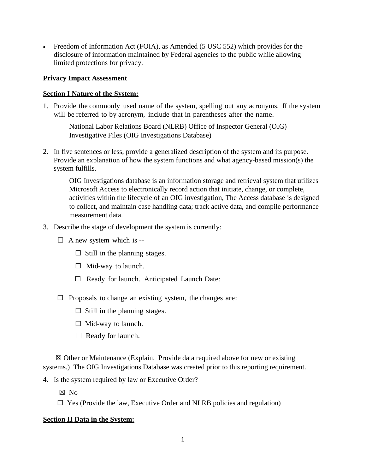• Freedom of Information Act (FOIA), as Amended (5 USC 552) which provides for the disclosure of information maintained by Federal agencies to the public while allowing limited protections for privacy.

### **Privacy Impact Assessment**

#### **Section I Nature of the System:**

1. Provide the commonly used name of the system, spelling out any acronyms. If the system will be referred to by acronym, include that in parentheses after the name.

National Labor Relations Board (NLRB) Office of Inspector General (OIG) Investigative Files (OIG Investigations Database)

2. In five sentences or less, provide a generalized description of the system and its purpose. Provide an explanation of how the system functions and what agency-based mission(s) the system fulfills.

OIG Investigations database is an information storage and retrieval system that utilizes Microsoft Access to electronically record action that initiate, change, or complete, activities within the lifecycle of an OIG investigation, The Access database is designed to collect, and maintain case handling data; track active data, and compile performance measurement data.

- 3. Describe the stage of development the system is currently:
	- $\Box$  A new system which is --
		- $\Box$  Still in the planning stages.
		- $\Box$  Mid-way to launch.
		- ☐ Ready for launch. Anticipated Launch Date:
	- $\Box$  Proposals to change an existing system, the changes are:
		- $\Box$  Still in the planning stages.
		- $\Box$  Mid-way to launch.
		- $\Box$  Ready for launch.

 ☒ Other or Maintenance (Explain. Provide data required above for new or existing systems.) The OIG Investigations Database was created prior to this reporting requirement.

4. Is the system required by law or Executive Order?

☒ No

 $\Box$  Yes (Provide the law, Executive Order and NLRB policies and regulation)

#### **Section II Data in the System:**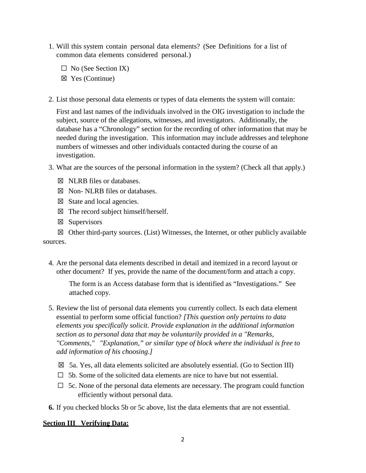- 1. Will this system contain personal data elements? (See Definitions for a list of common data elements considered personal.)
	- $\Box$  No (See Section IX)
	- ☒ Yes (Continue)
- 2. List those personal data elements or types of data elements the system will contain:

First and last names of the individuals involved in the OIG investigation to include the subject, source of the allegations, witnesses, and investigators. Additionally, the database has a "Chronology" section for the recording of other information that may be needed during the investigation. This information may include addresses and telephone numbers of witnesses and other individuals contacted during the course of an investigation.

- 3. What are the sources of the personal information in the system? (Check all that apply.)
	- ☒ NLRB files or databases.
	- ☒ Non- NLRB files or databases.
	- $\boxtimes$  State and local agencies.
	- $\boxtimes$  The record subject himself/herself.
	- ☒ Supervisors

 $\boxtimes$  Other third-party sources. (List) Witnesses, the Internet, or other publicly available sources.

4. Are the personal data elements described in detail and itemized in a record layout or other document? If yes, provide the name of the document/form and attach a copy.

 The form is an Access database form that is identified as "Investigations." See attached copy.

- 5. Review the list of personal data elements you currently collect. Is each data element essential to perform some official function? *[This question only pertains to data elements you specifically solicit. Provide explanation in the additional information section as to personal data that may be voluntarily provided in a "Remarks, "Comments," "Explanation," or similar type of block where the individual is free to add information of his choosing.]*
	- $\boxtimes$  5a. Yes, all data elements solicited are absolutely essential. (Go to Section III)
	- $\Box$  5b. Some of the solicited data elements are nice to have but not essential.
	- $\Box$  5c. None of the personal data elements are necessary. The program could function efficiently without personal data.
- **6.** If you checked blocks 5b or 5c above, list the data elements that are not essential.

## **Section III Verifying Data:**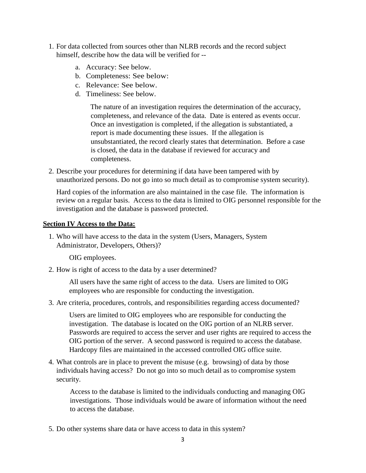- 1. For data collected from sources other than NLRB records and the record subject himself, describe how the data will be verified for -
	- a. Accuracy: See below.
	- b. Completeness: See below:
	- c. Relevance: See below.
	- d. Timeliness: See below.

The nature of an investigation requires the determination of the accuracy, completeness, and relevance of the data. Date is entered as events occur. Once an investigation is completed, if the allegation is substantiated, a report is made documenting these issues. If the allegation is unsubstantiated, the record clearly states that determination. Before a case is closed, the data in the database if reviewed for accuracy and completeness.

2. Describe your procedures for determining if data have been tampered with by unauthorized persons. Do not go into so much detail as to compromise system security).

Hard copies of the information are also maintained in the case file. The information is review on a regular basis. Access to the data is limited to OIG personnel responsible for the investigation and the database is password protected.

## **Section IV Access to the Data:**

1. Who will have access to the data in the system (Users, Managers, System Administrator, Developers, Others)?

OIG employees.

2. How is right of access to the data by a user determined?

All users have the same right of access to the data. Users are limited to OIG employees who are responsible for conducting the investigation.

3. Are criteria, procedures, controls, and responsibilities regarding access documented?

Users are limited to OIG employees who are responsible for conducting the investigation. The database is located on the OIG portion of an NLRB server. Passwords are required to access the server and user rights are required to access the OIG portion of the server. A second password is required to access the database. Hardcopy files are maintained in the accessed controlled OIG office suite.

4. What controls are in place to prevent the misuse (e.g. browsing) of data by those individuals having access? Do not go into so much detail as to compromise system security.

Access to the database is limited to the individuals conducting and managing OIG investigations. Those individuals would be aware of information without the need to access the database.

5. Do other systems share data or have access to data in this system?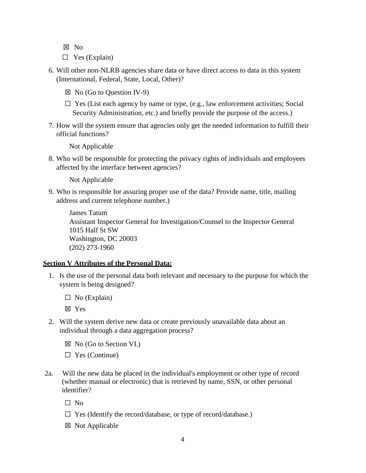- ☒ No
- $\Box$  Yes (Explain)
- 6. Will other non-NLRB agencies share data or have direct access to data in this system (International, Federal, State, Local, Other)?
	- $\boxtimes$  No (Go to Question IV-9)
	- $\Box$  Yes (List each agency by name or type, (e.g., law enforcement activities; Social Security Administration, etc.) and briefly provide the purpose of the access.)
- 7. How will the system ensure that agencies only get the needed information to fulfill their official functions?

Not Applicable

8. Who will be responsible for protecting the privacy rights of individuals and employees affected by the interface between agencies?

Not Applicable

9. Who is responsible for assuring proper use of the data? Provide name, title, mailing address and current telephone number.)

James Tatum Assistant Inspector General for Investigation/Counsel to the Inspector General 1015 Half St SW Washington, DC 20003 (202) 273-1960

### **Section V Attributes of the Personal Data:**

- 1. Is the use of the personal data both relevant and necessary to the purpose for which the system is being designed?
	- $\Box$  No (Explain)

☒ Yes

- 2. Will the system derive new data or create previously unavailable data about an individual through a data aggregation process?
	- $\boxtimes$  No (Go to Section VI.)
	- $\Box$  Yes (Continue)
- 2a. Will the new data be placed in the individual's employment or other type of record (whether manual or electronic) that is retrieved by name, SSN, or other personal identifier?

 $\Box$  No

- $\Box$  Yes (Identify the record/database, or type of record/database.)
- ☒ Not Applicable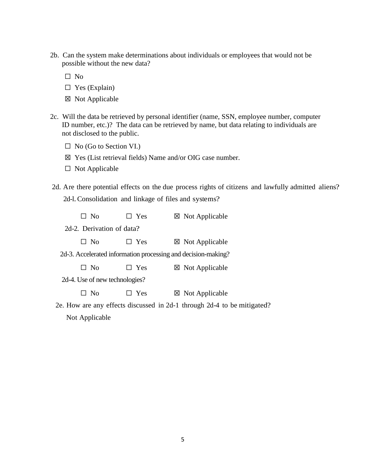2b. Can the system make determinations about individuals or employees that would not be possible without the new data?

☐ No

- $\square$  Yes (Explain)
- ☒ Not Applicable
- 2c. Will the data be retrieved by personal identifier (name, SSN, employee number, computer ID number, etc.)? The data can be retrieved by name, but data relating to individuals are not disclosed to the public.
	- $\Box$  No (Go to Section VI.)
	- ☒ Yes (List retrieval fields) Name and/or OIG case number.
	- ☐ Not Applicable
- 2d. Are there potential effects on the due process rights of citizens and lawfully admitted aliens? 2d-l.Consolidation and linkage of files and systems?

| $\Box$ No | $\Box$ Yes                     | $\boxtimes$ Not Applicable                                       |
|-----------|--------------------------------|------------------------------------------------------------------|
|           | 2d-2. Derivation of data?      |                                                                  |
| $\Box$ No | Yes                            | $\boxtimes$ Not Applicable                                       |
|           |                                | 2d-3. Accelerated information processing and decision-making?    |
| $\Box$ No | Yes                            | $\boxtimes$ Not Applicable                                       |
|           | 2d-4. Use of new technologies? |                                                                  |
| $\Box$ No | Yes                            | $\boxtimes$ Not Applicable                                       |
|           |                                | $2e$ How are any effects discussed in $2d-1$ through $2d-4$ to b |

 2e. How are any effects discussed in 2d-1 through 2d-4 to be mitigated? Not Applicable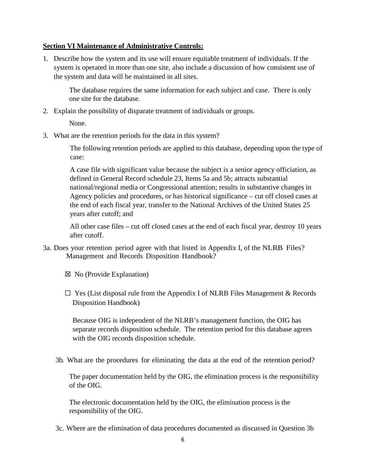### **Section VI Maintenance of Administrative Controls:**

1. Describe how the system and its use will ensure equitable treatment of individuals. If the system is operated in more than one site, also include a discussion of how consistent use of the system and data will be maintained in all sites.

The database requires the same information for each subject and case. There is only one site for the database.

2. Explain the possibility of disparate treatment of individuals or groups.

None.

3. What are the retention periods for the data in this system?

The following retention periods are applied to this database, depending upon the type of case:

A case file with significant value because the subject is a senior agency officiation, as defined in General Record schedule 23, Items 5a and 5b; attracts substantial national/regional media or Congressional attention; results in substantive changes in Agency policies and procedures, or has historical significance – cut off closed cases at the end of each fiscal year, transfer to the National Archives of the United States 25 years after cutoff; and

All other case files – cut off closed cases at the end of each fiscal year, destroy 10 years after cutoff.

- 3a. Does your retention period agree with that listed in Appendix I, of the NLRB Files? Management and Records Disposition Handbook?
	- ☒ No (Provide Explanation)
	- $\Box$  Yes (List disposal rule from the Appendix I of NLRB Files Management & Records Disposition Handbook)

Because OIG is independent of the NLRB's management function, the OIG has separate records disposition schedule. The retention period for this database agrees with the OIG records disposition schedule.

3b. What are the procedures for eliminating the data at the end of the retention period?

The paper documentation held by the OIG, the elimination process is the responsibility of the OIG.

The electronic documentation held by the OIG, the elimination process is the responsibility of the OIG.

3c. Where are the elimination of data procedures documented as discussed in Question 3b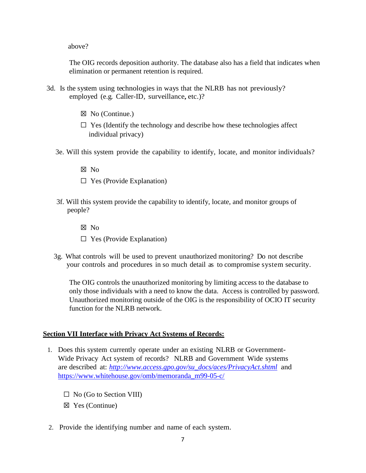above?

The OIG records deposition authority. The database also has a field that indicates when elimination or permanent retention is required.

- 3d. Is the system using technologies in ways that the NLRB has not previously? employed (e.g. Caller-ID, surveillance, etc.)?
	- ☒ No (Continue.)
	- $\Box$  Yes (Identify the technology and describe how these technologies affect individual privacy)
	- 3e. Will this system provide the capability to identify, locate, and monitor individuals?
		- ☒ No
		- $\Box$  Yes (Provide Explanation)
	- 3f. Will this system provide the capability to identify, locate, and monitor groups of people?
		- ☒ No
		- $\Box$  Yes (Provide Explanation)
	- 3g. What controls will be used to prevent unauthorized monitoring? Do not describe your controls and procedures in so much detail as to compromise system security.

The OIG controls the unauthorized monitoring by limiting access to the database to only those individuals with a need to know the data. Access is controlled by password. Unauthorized monitoring outside of the OIG is the responsibility of OCIO IT security function for the NLRB network.

### **Section VII Interface with Privacy Act Systems of Records:**

- 1. Does this system currently operate under an existing NLRB or Government-Wide Privacy Act system of records? NLRB and Government Wide systems are described at: *[http://www.access.gpo.gov/su\\_docs/aces/PrivacyAct.shtml](http://www.access.gpo.gov/su_docs/aces/PrivacyAct.shtml)* and [https://www.whitehouse.gov/omb/memoranda\\_m99-05-c/](https://www.whitehouse.gov/omb/memoranda_m99-05-c/)
	- $\Box$  No (Go to Section VIII)
	- ☒ Yes (Continue)
- 2. Provide the identifying number and name of each system.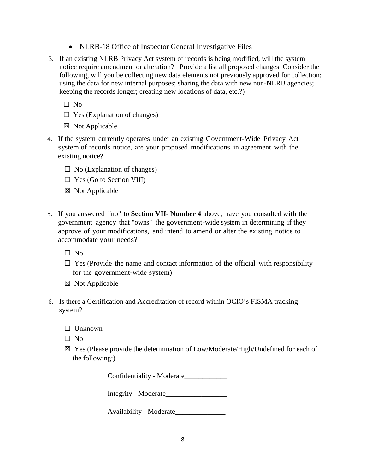- NLRB-18 Office of Inspector General Investigative Files
- 3. If an existing NLRB Privacy Act system of records is being modified, will the system notice require amendment or alteration? Provide a list all proposed changes. Consider the following, will you be collecting new data elements not previously approved for collection; using the data for new internal purposes; sharing the data with new non-NLRB agencies; keeping the records longer; creating new locations of data, etc.?)

 $\Box$  No

- $\Box$  Yes (Explanation of changes)
- ☒ Not Applicable
- 4. If the system currently operates under an existing Government-Wide Privacy Act system of records notice, are your proposed modifications in agreement with the existing notice?
	- $\Box$  No (Explanation of changes)
	- $\Box$  Yes (Go to Section VIII)
	- ☒ Not Applicable
- 5. If you answered "no" to **Section VII Number 4** above, have you consulted with the government agency that "owns" the government-wide system in determining if they approve of your modifications, and intend to amend or alter the existing notice to accommodate your needs?

☐ No

- $\Box$  Yes (Provide the name and contact information of the official with responsibility for the government-wide system)
- ☒ Not Applicable
- 6. Is there a Certification and Accreditation of record within OCIO's FISMA tracking system?
	- ☐ Unknown
	- $\Box$  No
	- ☒ Yes (Please provide the determination of Low/Moderate/High/Undefined for each of the following:)

Confidentiality - Moderate\_\_\_\_\_\_\_\_\_\_\_\_

Integrity - Moderate\_\_\_\_\_\_\_\_\_\_\_\_\_\_\_\_\_

Availability - Moderate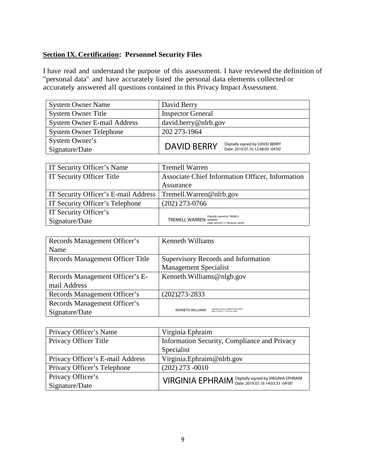# **Section IX. Certification: Personnel Security Files**

I have read and understand the purpose of this assessment. I have reviewed the definition of "personal data" and have accurately listed the personal data elements collected or accurately answered all questions contained in this Privacy Impact Assessment.

| <b>System Owner Name</b>           | David Berry                                             |
|------------------------------------|---------------------------------------------------------|
| <b>System Owner Title</b>          | <b>Inspector General</b>                                |
| <b>System Owner E-mail Address</b> | david.berry@nlrb.gov                                    |
| <b>System Owner Telephone</b>      | 202 273-1964                                            |
| System Owner's                     | Digitally signed by DAVID BERRY                         |
| Signature/Date                     | <b>DAVID BERRY</b><br>Date: 2019.07.16 12:48:09 -04'00' |

| IT Security Officer's Name           | <b>Tremell Warren</b>                                                                            |
|--------------------------------------|--------------------------------------------------------------------------------------------------|
| IT Security Officer Title            | Associate Chief Information Officer, Information                                                 |
|                                      | Assurance                                                                                        |
| IT Security Officer's E-mail Address | Tremell. Warren@nlrb.gov                                                                         |
| IT Security Officer's Telephone      | $(202)$ 273-0766                                                                                 |
| IT Security Officer's                |                                                                                                  |
| Signature/Date                       | Digitally signed by TREMELL<br><b>TREMELL WARREN WARREN</b><br>Date: 2019.07.17 09:38:26 -04'00' |

| Signature/Date                   | Digitally signed by TREMELL<br><b>TREMELL WARREN</b><br><b>WARREN</b><br>Date: 2019.07.17 09:38:26 -04'00' |
|----------------------------------|------------------------------------------------------------------------------------------------------------|
|                                  |                                                                                                            |
| Records Management Officer's     | <b>Kenneth Williams</b>                                                                                    |
| Name                             |                                                                                                            |
| Records Management Officer Title | Supervisory Records and Information                                                                        |
|                                  | <b>Management Specialist</b>                                                                               |
| Records Management Officer's E-  | Kenneth. Williams@nlgb.gov                                                                                 |
| mail Address                     |                                                                                                            |
| Records Management Officer's     | (202) 273-2833                                                                                             |
| Records Management Officer's     |                                                                                                            |
| Signature/Date                   | Digitally signed by KENNETH WILLIAMS<br><b>KENNETH WILLIAMS</b><br>Date: 2019.07.17.10:47:36 -04'00        |
|                                  |                                                                                                            |
| Privacy Officer's Name           | Virginia Ephraim                                                                                           |
| Privacy Officer Title            | Information Security, Compliance and Privacy                                                               |
|                                  | Specialist                                                                                                 |
| Privacy Officer's E-mail Address | Virginia. Ephraim@nlrb.gov                                                                                 |
| Privacy Officer's Telephone      | $(202)$ 273 -0010                                                                                          |
| Privacy Officer's                | Digitally signed by VIRGINIA EPHRAIM<br><b>VIRGINIA EPHRAIM</b>                                            |
| $\Gamma$ ianotura/Dota           | Date: 2019.07.16 14:03:33 -04'00'                                                                          |

| Privacy Officer's Name           | Virginia Ephraim                                      |
|----------------------------------|-------------------------------------------------------|
| Privacy Officer Title            | Information Security, Compliance and Privacy          |
|                                  | Specialist                                            |
| Privacy Officer's E-mail Address | Virginia.Ephraim@nlrb.gov                             |
| Privacy Officer's Telephone      | $(202)$ 273 -0010                                     |
| Privacy Officer's                | VIRGINIA EPHRAIM Digitally signed by VIRGINIA EPHRAIM |
| Signature/Date                   |                                                       |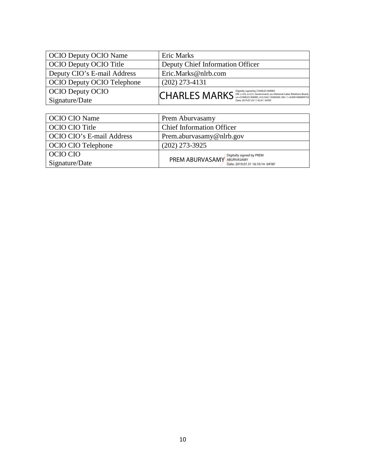| <b>OCIO Deputy OCIO Name</b>      | Eric Marks                                                                                                                                                                                 |
|-----------------------------------|--------------------------------------------------------------------------------------------------------------------------------------------------------------------------------------------|
| <b>OCIO Deputy OCIO Title</b>     | Deputy Chief Information Officer                                                                                                                                                           |
| Deputy CIO's E-mail Address       | Eric.Marks@nlrb.com                                                                                                                                                                        |
| <b>OCIO Deputy OCIO Telephone</b> | $(202)$ 273-4131                                                                                                                                                                           |
| <b>OCIO Deputy OCIO</b>           | Digitally signed by CHARLES MARKS<br><b>CHARLES MARKS</b><br>DN: c=US, o=U.S. Government, ou=National Labor Relations Board,<br>cn=CHARLES MARKS, 0.9.2342.19200300.100.1.1=63001000009755 |
| Signature/Date                    | Date: 2019.07.29 11:42:41 -04'00'                                                                                                                                                          |

| <b>OCIO CIO Name</b>      | Prem Aburvasamy                   |
|---------------------------|-----------------------------------|
| OCIO CIO Title            | <b>Chief Information Officer</b>  |
| OCIO CIO's E-mail Address | Prem.aburvasamy@nlrb.gov          |
| <b>OCIO CIO Telephone</b> | $(202)$ 273-3925                  |
| OCIO CIO                  | <b>PREM ABURVASAMY</b> ABURVASAMY |
| Signature/Date            | Date: 2019.07.31 16:10:14 -04'00' |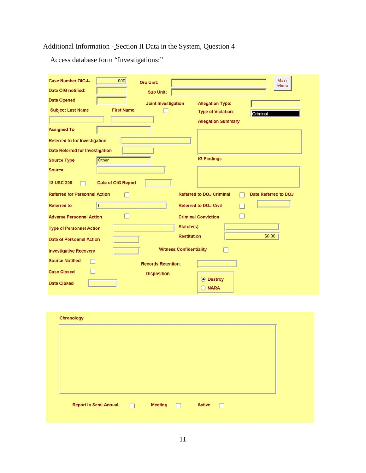# Additional Information - Section II Data in the System, Question 4

Access database form "Investigations:"

| 000<br><b>Case Number OIG-I-</b>              | <b>Org Unit:</b>                |                           | Main<br>Menu         |
|-----------------------------------------------|---------------------------------|---------------------------|----------------------|
| Date OIG notified:                            | Sub Unit:                       |                           |                      |
| <b>Date Opened</b>                            | <b>Joint Investigation</b>      | <b>Allegation Type:</b>   |                      |
| <b>Subject Last Name</b><br><b>First Name</b> |                                 | <b>Type of Violation:</b> | Criminal             |
|                                               |                                 | <b>Allegation Summary</b> |                      |
| <b>Assigned To</b>                            |                                 |                           |                      |
| <b>Referred to for Investigation</b>          |                                 |                           |                      |
| <b>Date Referred for Investigation</b>        |                                 |                           |                      |
| Other<br><b>Source Type</b>                   |                                 | <b>IG Findings</b>        |                      |
| <b>Source</b>                                 |                                 |                           |                      |
| Date of OIG Report<br><b>18 USC 208</b>       |                                 |                           |                      |
| <b>Referred for Personnel Action</b>          | <b>Referred to DOJ Criminal</b> |                           | Date Referred to DOJ |
| <b>Referred to</b>                            | <b>Referred to DOJ Civil</b>    |                           |                      |
| <b>Adverse Personnel Action</b>               | <b>Criminal Conviction</b>      |                           |                      |
| <b>Type of Personnel Action</b>               | Statute(s)                      |                           |                      |
| <b>Date of Personnel Action</b>               | <b>Restitution</b>              |                           | \$0.00               |
| <b>Investigative Recovery</b>                 | <b>Witness Confidentiality</b>  |                           |                      |
| <b>Source Notified</b>                        | <b>Records Retention:</b>       |                           |                      |
| <b>Case Closed</b>                            | <b>Disposition</b>              |                           |                      |
| <b>Date Closed</b>                            |                                 | <b>O</b> Destroy          |                      |
|                                               | O                               | <b>NARA</b>               |                      |

| Chronology            |                          |        |    |  |  |
|-----------------------|--------------------------|--------|----|--|--|
|                       |                          |        |    |  |  |
|                       |                          |        |    |  |  |
|                       |                          |        |    |  |  |
|                       |                          |        |    |  |  |
| Report in Semi-Annual | Meeting <b>Districts</b> | Active | 11 |  |  |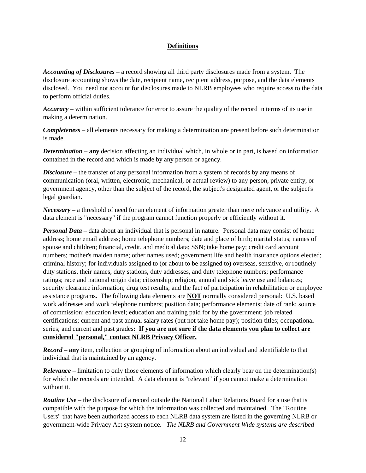### **Definitions**

*Accounting of Disclosures –* a record showing all third party disclosures made from a system. The disclosure accounting shows the date, recipient name, recipient address, purpose, and the data elements disclosed. You need not account for disclosures made to NLRB employees who require access to the data to perform official duties.

*Accuracy* – within sufficient tolerance for error to assure the quality of the record in terms of its use in making a determination.

*Completeness* – all elements necessary for making a determination are present before such determination is made.

*Determination* – **any** decision affecting an individual which, in whole or in part, is based on information contained in the record and which is made by any person or agency.

*Disclosure* – the transfer of any personal information from a system of records by any means of communication (oral, written, electronic, mechanical, or actual review) to any person, private entity, or government agency, other than the subject of the record, the subject's designated agent, or the subject's legal guardian.

*Necessary* – a threshold of need for an element of information greater than mere relevance and utility. A data element is "necessary" if the program cannot function properly or efficiently without it.

*Personal Data* – data about an individual that is personal in nature. Personal data may consist of home address; home email address; home telephone numbers; date and place of birth; marital status; names of spouse and children; financial, credit, and medical data; SSN; take home pay; credit card account numbers; mother's maiden name; other names used; government life and health insurance options elected; criminal history; for individuals assigned to (or about to be assigned to) overseas, sensitive, or routinely duty stations, their names, duty stations, duty addresses, and duty telephone numbers; performance ratings; race and national origin data; citizenship; religion; annual and sick leave use and balances; security clearance information; drug test results; and the fact of participation in rehabilitation or employee assistance programs. The following data elements are **NOT** normally considered personal: U.S. based work addresses and work telephone numbers; position data; performance elements; date of rank; source of commission; education level; education and training paid for by the government; job related certifications; current and past annual salary rates (but not take home pay); position titles; occupational series; and current and past grades**: If you are not sure if the data elements you plan to collect are considered "personal," contact NLRB Privacy Officer.**

*Record* – **any** item, collection or grouping of information about an individual and identifiable to that individual that is maintained by an agency.

*Relevance* – limitation to only those elements of information which clearly bear on the determination(s) for which the records are intended. A data element is "relevant" if you cannot make a determination without it.

*Routine Use* – the disclosure of a record outside the National Labor Relations Board for a use that is compatible with the purpose for which the information was collected and maintained. The "Routine Users" that have been authorized access to each NLRB data system are listed in the governing NLRB or government-wide Privacy Act system notice. *The NLRB and Government Wide systems are described*